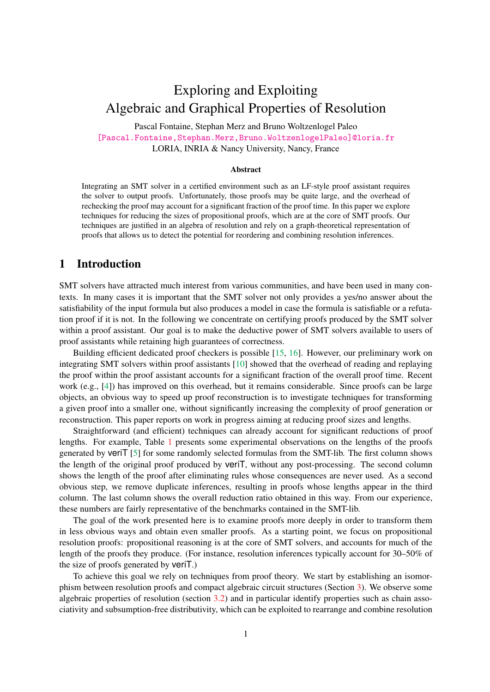# <span id="page-0-0"></span>Exploring and Exploiting Algebraic and Graphical Properties of Resolution

Pascal Fontaine, Stephan Merz and Bruno Woltzenlogel Paleo [\[Pascal.Fontaine,Stephan.Merz,Bruno.WoltzenlogelPaleo\]@loria.fr]([Pascal.Fontaine,Stephan.Merz,Bruno.WoltzenlogelPaleo]@loria.fr) LORIA, INRIA & Nancy University, Nancy, France

#### Abstract

Integrating an SMT solver in a certified environment such as an LF-style proof assistant requires the solver to output proofs. Unfortunately, those proofs may be quite large, and the overhead of rechecking the proof may account for a significant fraction of the proof time. In this paper we explore techniques for reducing the sizes of propositional proofs, which are at the core of SMT proofs. Our techniques are justified in an algebra of resolution and rely on a graph-theoretical representation of proofs that allows us to detect the potential for reordering and combining resolution inferences.

### 1 Introduction

SMT solvers have attracted much interest from various communities, and have been used in many contexts. In many cases it is important that the SMT solver not only provides a yes/no answer about the satisfiability of the input formula but also produces a model in case the formula is satisfiable or a refutation proof if it is not. In the following we concentrate on certifying proofs produced by the SMT solver within a proof assistant. Our goal is to make the deductive power of SMT solvers available to users of proof assistants while retaining high guarantees of correctness.

Building efficient dedicated proof checkers is possible [\[15,](#page-11-0) [16\]](#page-11-1). However, our preliminary work on integrating SMT solvers within proof assistants [\[10\]](#page-11-2) showed that the overhead of reading and replaying the proof within the proof assistant accounts for a significant fraction of the overall proof time. Recent work (e.g., [\[4\]](#page-10-0)) has improved on this overhead, but it remains considerable. Since proofs can be large objects, an obvious way to speed up proof reconstruction is to investigate techniques for transforming a given proof into a smaller one, without significantly increasing the complexity of proof generation or reconstruction. This paper reports on work in progress aiming at reducing proof sizes and lengths.

Straightforward (and efficient) techniques can already account for significant reductions of proof lengths. For example, Table [1](#page-1-0) presents some experimental observations on the lengths of the proofs generated by veriT [\[5\]](#page-11-3) for some randomly selected formulas from the SMT-lib. The first column shows the length of the original proof produced by veriT, without any post-processing. The second column shows the length of the proof after eliminating rules whose consequences are never used. As a second obvious step, we remove duplicate inferences, resulting in proofs whose lengths appear in the third column. The last column shows the overall reduction ratio obtained in this way. From our experience, these numbers are fairly representative of the benchmarks contained in the SMT-lib.

The goal of the work presented here is to examine proofs more deeply in order to transform them in less obvious ways and obtain even smaller proofs. As a starting point, we focus on propositional resolution proofs: propositional reasoning is at the core of SMT solvers, and accounts for much of the length of the proofs they produce. (For instance, resolution inferences typically account for 30–50% of the size of proofs generated by veriT.)

To achieve this goal we rely on techniques from proof theory. We start by establishing an isomorphism between resolution proofs and compact algebraic circuit structures (Section [3\)](#page-3-0). We observe some algebraic properties of resolution (section [3.2\)](#page-4-0) and in particular identify properties such as chain associativity and subsumption-free distributivity, which can be exploited to rearrange and combine resolution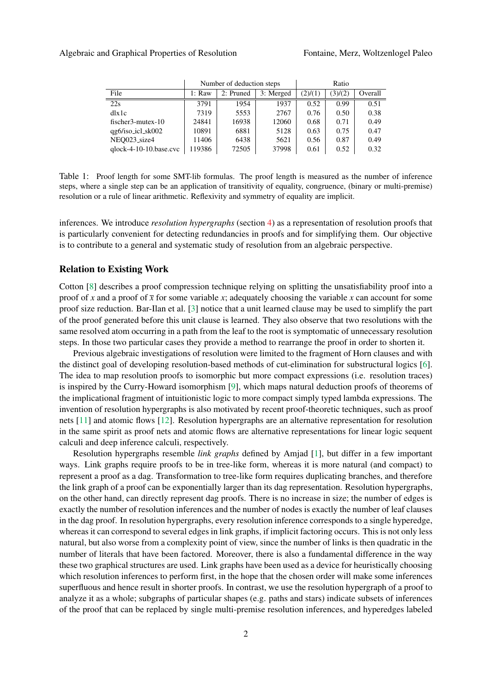|                          | Number of deduction steps |           |           | Ratio   |         |         |
|--------------------------|---------------------------|-----------|-----------|---------|---------|---------|
| File                     | 1: Raw                    | 2: Pruned | 3: Merged | (2)/(1) | (3)/(2) | Overall |
| 22s                      | 3791                      | 1954      | 1937      | 0.52    | 0.99    | 0.51    |
| dlx1c                    | 7319                      | 5553      | 2767      | 0.76    | 0.50    | 0.38    |
| $fischer3-mutes-10$      | 24841                     | 16938     | 12060     | 0.68    | 0.71    | 0.49    |
| qg6/iso_icl_sk002        | 10891                     | 6881      | 5128      | 0.63    | 0.75    | 0.47    |
| NEO023_size4             | 11406                     | 6438      | 5621      | 0.56    | 0.87    | 0.49    |
| $qlock-4-10-10.base.cvc$ | 119386                    | 72505     | 37998     | 0.61    | 0.52    | 0.32    |

<span id="page-1-0"></span>Table 1: Proof length for some SMT-lib formulas. The proof length is measured as the number of inference steps, where a single step can be an application of transitivity of equality, congruence, (binary or multi-premise) resolution or a rule of linear arithmetic. Reflexivity and symmetry of equality are implicit.

inferences. We introduce *resolution hypergraphs* (section [4\)](#page-7-0) as a representation of resolution proofs that is particularly convenient for detecting redundancies in proofs and for simplifying them. Our objective is to contribute to a general and systematic study of resolution from an algebraic perspective.

### Relation to Existing Work

Cotton [\[8\]](#page-11-4) describes a proof compression technique relying on splitting the unsatisfiability proof into a proof of *x* and a proof of  $\bar{x}$  for some variable *x*; adequately choosing the variable *x* can account for some proof size reduction. Bar-Ilan et al. [\[3\]](#page-10-1) notice that a unit learned clause may be used to simplify the part of the proof generated before this unit clause is learned. They also observe that two resolutions with the same resolved atom occurring in a path from the leaf to the root is symptomatic of unnecessary resolution steps. In those two particular cases they provide a method to rearrange the proof in order to shorten it.

Previous algebraic investigations of resolution were limited to the fragment of Horn clauses and with the distinct goal of developing resolution-based methods of cut-elimination for substructural logics [\[6\]](#page-11-5). The idea to map resolution proofs to isomorphic but more compact expressions (i.e. resolution traces) is inspired by the Curry-Howard isomorphism [\[9\]](#page-11-6), which maps natural deduction proofs of theorems of the implicational fragment of intuitionistic logic to more compact simply typed lambda expressions. The invention of resolution hypergraphs is also motivated by recent proof-theoretic techniques, such as proof nets [\[11\]](#page-11-7) and atomic flows [\[12\]](#page-11-8). Resolution hypergraphs are an alternative representation for resolution in the same spirit as proof nets and atomic flows are alternative representations for linear logic sequent calculi and deep inference calculi, respectively.

Resolution hypergraphs resemble *link graphs* defined by Amjad [\[1\]](#page-10-2), but differ in a few important ways. Link graphs require proofs to be in tree-like form, whereas it is more natural (and compact) to represent a proof as a dag. Transformation to tree-like form requires duplicating branches, and therefore the link graph of a proof can be exponentially larger than its dag representation. Resolution hypergraphs, on the other hand, can directly represent dag proofs. There is no increase in size; the number of edges is exactly the number of resolution inferences and the number of nodes is exactly the number of leaf clauses in the dag proof. In resolution hypergraphs, every resolution inference corresponds to a single hyperedge, whereas it can correspond to several edges in link graphs, if implicit factoring occurs. This is not only less natural, but also worse from a complexity point of view, since the number of links is then quadratic in the number of literals that have been factored. Moreover, there is also a fundamental difference in the way these two graphical structures are used. Link graphs have been used as a device for heuristically choosing which resolution inferences to perform first, in the hope that the chosen order will make some inferences superfluous and hence result in shorter proofs. In contrast, we use the resolution hypergraph of a proof to analyze it as a whole; subgraphs of particular shapes (e.g. paths and stars) indicate subsets of inferences of the proof that can be replaced by single multi-premise resolution inferences, and hyperedges labeled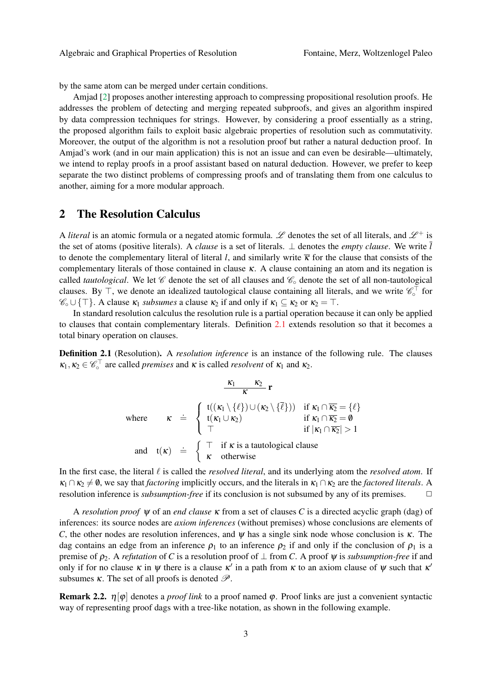by the same atom can be merged under certain conditions.

Amjad [\[2\]](#page-10-3) proposes another interesting approach to compressing propositional resolution proofs. He addresses the problem of detecting and merging repeated subproofs, and gives an algorithm inspired by data compression techniques for strings. However, by considering a proof essentially as a string, the proposed algorithm fails to exploit basic algebraic properties of resolution such as commutativity. Moreover, the output of the algorithm is not a resolution proof but rather a natural deduction proof. In Amjad's work (and in our main application) this is not an issue and can even be desirable—ultimately, we intend to replay proofs in a proof assistant based on natural deduction. However, we prefer to keep separate the two distinct problems of compressing proofs and of translating them from one calculus to another, aiming for a more modular approach.

### <span id="page-2-1"></span>2 The Resolution Calculus

A *literal* is an atomic formula or a negated atomic formula. L denotes the set of all literals, and  $\mathcal{L}^+$  is the set of atoms (positive literals). A *clause* is a set of literals.  $\perp$  denotes the *empty clause*. We write  $\overline{l}$ to denote the complementary literal of literal *l*, and similarly write  $\bar{k}$  for the clause that consists of the complementary literals of those contained in clause  $\kappa$ . A clause containing an atom and its negation is called *tautological*. We let denote the set of all clauses and  $\mathcal{C}_\circ$  denote the set of all non-tautological clauses. By  $\top$ , we denote an idealized tautological clause containing all literals, and we write  $\mathscr{C}_\circ^{\top}$  for  $\mathscr{C}_{\circ} \cup \{\top\}$ . A clause  $\kappa_1$  *subsumes* a clause  $\kappa_2$  if and only if  $\kappa_1 \subseteq \kappa_2$  or  $\kappa_2 = \top$ .

In standard resolution calculus the resolution rule is a partial operation because it can only be applied to clauses that contain complementary literals. Definition [2.1](#page-2-0) extends resolution so that it becomes a total binary operation on clauses.

<span id="page-2-0"></span>Definition 2.1 (Resolution). A *resolution inference* is an instance of the following rule. The clauses  $\kappa_1, \kappa_2 \in \mathscr{C}_\circ^{\top}$  are called *premises* and  $\kappa$  is called *resolvent* of  $\kappa_1$  and  $\kappa_2$ .

$$
\frac{\kappa_1 \kappa_2}{\kappa} \mathbf{r}
$$
\nwhere\n
$$
\kappa \doteq \begin{cases}\n t((\kappa_1 \setminus \{\ell\}) \cup (\kappa_2 \setminus \{\overline{\ell}\})) & \text{if } \kappa_1 \cap \overline{\kappa_2} = \{\ell\} \\
 t(\kappa_1 \cup \kappa_2) & \text{if } \kappa_1 \cap \overline{\kappa_2} = \emptyset \\
 \top & \text{if } |\kappa_1 \cap \overline{\kappa_2}| > 1\n\end{cases}
$$
\nand\n
$$
t(\kappa) \doteq \begin{cases}\n \top & \text{if } \kappa \text{ is a tautological clause} \\
 \kappa & \text{otherwise}\n\end{cases}
$$

In the first case, the literal  $\ell$  is called the *resolved literal*, and its underlying atom the *resolved atom*. If  $\kappa_1 \cap \kappa_2 \neq \emptyset$ , we say that *factoring* implicitly occurs, and the literals in  $\kappa_1 \cap \kappa_2$  are the *factored literals*. A resolution inference is *subsumption-free* if its conclusion is not subsumed by any of its premises. ✷

A *resolution proof* ψ of an *end clause* κ from a set of clauses *C* is a directed acyclic graph (dag) of inferences: its source nodes are *axiom inferences* (without premises) whose conclusions are elements of *C*, the other nodes are resolution inferences, and  $\psi$  has a single sink node whose conclusion is  $\kappa$ . The dag contains an edge from an inference  $\rho_1$  to an inference  $\rho_2$  if and only if the conclusion of  $\rho_1$  is a premise of  $\rho_2$ . A *refutation* of *C* is a resolution proof of  $\perp$  from *C*. A proof  $\psi$  is *subsumption-free* if and only if for no clause  $\kappa$  in  $\psi$  there is a clause  $\kappa'$  in a path from  $\kappa$  to an axiom clause of  $\psi$  such that  $\kappa'$ subsumes  $\kappa$ . The set of all proofs is denoted  $\mathscr{P}$ .

<span id="page-2-2"></span>**Remark 2.2.**  $\eta[\varphi]$  denotes a *proof link* to a proof named  $\varphi$ . Proof links are just a convenient syntactic way of representing proof dags with a tree-like notation, as shown in the following example.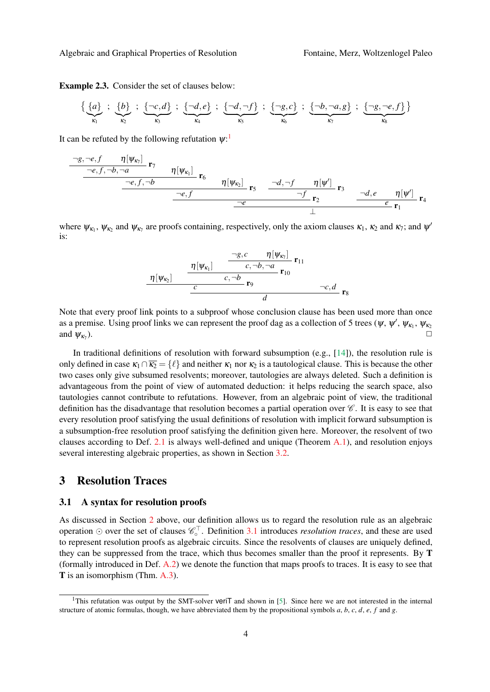#### Algebraic and Graphical Properties of Resolution Fontaine, Merz, Woltzenlogel Paleo

Example 2.3. Consider the set of clauses below:

$$
\{\underbrace{\{a\}}_{\kappa_1} ; \underbrace{\{b\}}_{\kappa_2} ; \underbrace{\{-c,d\}}_{\kappa_3} ; \underbrace{\{-d,e\}}_{\kappa_4} ; \underbrace{\{-d,-f\}}_{\kappa_5} ; \underbrace{\{-g,c\}}_{\kappa_6} ; \underbrace{\{-b,-a,g\}}_{\kappa_7} ; \underbrace{\{-g,-e,f\}}_{\kappa_8}
$$

It can be refuted by the following refutation  $\psi$ :

$$
\frac{\neg g, \neg e, f \qquad \eta[\psi_{\kappa_7}]}{\neg e, f, \neg b, \neg a} \mathbf{r}_7 \qquad \eta[\psi_{\kappa_1}] \qquad \mathbf{r}_6 \qquad \eta[\psi_{\kappa_2}] \qquad \mathbf{r}_5 \qquad \frac{\neg d, \neg f \qquad \eta[\psi']}{\neg f} \mathbf{r}_3 \qquad \frac{\neg d, e \qquad \eta[\psi']}{\neg f} \mathbf{r}_4
$$
\n
$$
\frac{\neg e, f \qquad \qquad \frac{\neg e, f}{\neg f}}{\neg f} \qquad \frac{\neg f}{\bot} \qquad \frac{\neg d, e \qquad \eta[\psi']}{\bot} \mathbf{r}_4
$$

where  $\psi_{\kappa_1}$ ,  $\psi_{\kappa_2}$  and  $\psi_{\kappa_7}$  are proofs containing, respectively, only the axiom clauses  $\kappa_1$ ,  $\kappa_2$  and  $\kappa_7$ ; and  $\psi'$ is:

$$
\frac{\eta[\psi_{\kappa_1}]}{\eta[\psi_{\kappa_2}]} = \frac{\frac{\neg g, c}{c, \neg b, \neg a} \eta[\psi_{\kappa_1}]}{c, \neg b, \neg a} \mathbf{r}_{10} \frac{\neg g, c}{d} \mathbf{r}_8
$$

Note that every proof link points to a subproof whose conclusion clause has been used more than once as a premise. Using proof links we can represent the proof dag as a collection of 5 trees ( $\psi$ ,  $\psi'$ ,  $\psi_{\kappa_1}$ ,  $\psi_{\kappa_2}$ and  $\psi_{\kappa_7}$ ). ).  $\Box$ 

In traditional definitions of resolution with forward subsumption (e.g.,  $[14]$ ), the resolution rule is only defined in case  $\kappa_1 \cap \overline{\kappa_2} = \{ \ell \}$  and neither  $\kappa_1$  nor  $\kappa_2$  is a tautological clause. This is because the other two cases only give subsumed resolvents; moreover, tautologies are always deleted. Such a definition is advantageous from the point of view of automated deduction: it helps reducing the search space, also tautologies cannot contribute to refutations. However, from an algebraic point of view, the traditional definition has the disadvantage that resolution becomes a partial operation over  $\mathscr{C}$ . It is easy to see that every resolution proof satisfying the usual definitions of resolution with implicit forward subsumption is a subsumption-free resolution proof satisfying the definition given here. Moreover, the resolvent of two clauses according to Def. [2.1](#page-2-0) is always well-defined and unique (Theorem [A.1\)](#page-11-10), and resolution enjoys several interesting algebraic properties, as shown in Section [3.2.](#page-4-0)

## <span id="page-3-0"></span>3 Resolution Traces

#### 3.1 A syntax for resolution proofs

As discussed in Section [2](#page-2-1) above, our definition allows us to regard the resolution rule as an algebraic operation  $\odot$  over the set of clauses  $\mathscr{C}_\circ^{\top}$ . Definition [3.1](#page-3-1) introduces *resolution traces*, and these are used to represent resolution proofs as algebraic circuits. Since the resolvents of clauses are uniquely defined, they can be suppressed from the trace, which thus becomes smaller than the proof it represents. By T (formally introduced in Def. [A.2\)](#page-11-11) we denote the function that maps proofs to traces. It is easy to see that T is an isomorphism (Thm. [A.3\)](#page-11-12).

<span id="page-3-1"></span><sup>&</sup>lt;sup>1</sup>This refutation was output by the SMT-solver veri $\bar{T}$  and shown in [\[5\]](#page-11-3). Since here we are not interested in the internal structure of atomic formulas, though, we have abbreviated them by the propositional symbols *a*, *b*, *c*, *d*, *e*, *f* and *g*.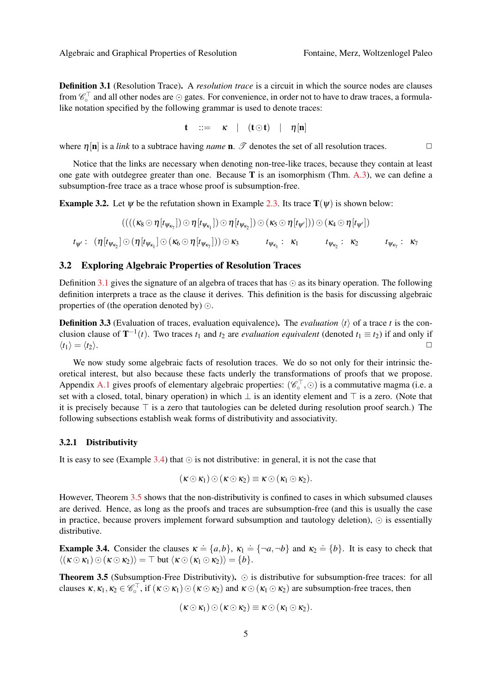**Definition 3.1** (Resolution Trace). A *resolution trace* is a circuit in which the source nodes are clauses from  $\mathscr{C}_\circ^\top$  and all other nodes are  $\odot$  gates. For convenience, in order not to have to draw traces, a formulalike notation specified by the following grammar is used to denote traces:

$$
\mathbf{t} \quad ::= \quad \kappa \quad | \quad (\mathbf{t} \odot \mathbf{t}) \quad | \quad \eta[\mathbf{n}]
$$

where  $\eta$ [n] is a *link* to a subtrace having *name* **n**.  $\mathcal{P}$  denotes the set of all resolution traces.

Notice that the links are necessary when denoting non-tree-like traces, because they contain at least one gate with outdegree greater than one. Because T is an isomorphism (Thm. [A.3\)](#page-11-12), we can define a subsumption-free trace as a trace whose proof is subsumption-free.

**Example 3.2.** Let  $\psi$  be the refutation shown in Example [2.3.](#page-2-2) Its trace  $T(\psi)$  is shown below:

$$
((((\kappa_8 \odot \eta[t_{\psi_{\kappa_1}}]) \odot \eta[t_{\psi_{\kappa_1}}]) \odot \eta[t_{\psi_{\kappa_2}}]) \odot (\kappa_5 \odot \eta[t_{\psi'}])) \odot (\kappa_4 \odot \eta[t_{\psi'}])
$$
  

$$
t_{\psi'}: (\eta[t_{\psi_{\kappa_2}}] \odot (\eta[t_{\psi_{\kappa_1}}] \odot (\kappa_6 \odot \eta[t_{\psi_{\kappa_7}}])) \odot \kappa_3 \qquad t_{\psi_{\kappa_1}}: \kappa_1 \qquad t_{\psi_{\kappa_2}}: \kappa_2 \qquad t_{\psi_{\kappa_7}}: \kappa_7
$$

### <span id="page-4-0"></span>3.2 Exploring Algebraic Properties of Resolution Traces

Definition [3.1](#page-3-1) gives the signature of an algebra of traces that has  $\odot$  as its binary operation. The following definition interprets a trace as the clause it derives. This definition is the basis for discussing algebraic properties of (the operation denoted by)  $\odot$ .

**Definition 3.3** (Evaluation of traces, evaluation equivalence). The *evaluation*  $\langle t \rangle$  of a trace *t* is the conclusion clause of  $T^{-1}(t)$ . Two traces  $t_1$  and  $t_2$  are *evaluation equivalent* (denoted  $t_1 \equiv t_2$ ) if and only if  $\langle t_1 \rangle = \langle t_2 \rangle.$ 

We now study some algebraic facts of resolution traces. We do so not only for their intrinsic theoretical interest, but also because these facts underly the transformations of proofs that we propose. Appendix [A.1](#page-12-0) gives proofs of elementary algebraic properties:  $(\mathscr{C}_\circ^\top, \odot)$  is a commutative magma (i.e. a set with a closed, total, binary operation) in which  $\perp$  is an identity element and  $\top$  is a zero. (Note that it is precisely because  $\top$  is a zero that tautologies can be deleted during resolution proof search.) The following subsections establish weak forms of distributivity and associativity.

#### <span id="page-4-3"></span>3.2.1 Distributivity

It is easy to see (Example [3.4\)](#page-4-1) that  $\odot$  is not distributive: in general, it is not the case that

$$
(\kappa \odot \kappa_1) \odot (\kappa \odot \kappa_2) \equiv \kappa \odot (\kappa_1 \odot \kappa_2).
$$

However, Theorem [3.5](#page-4-2) shows that the non-distributivity is confined to cases in which subsumed clauses are derived. Hence, as long as the proofs and traces are subsumption-free (and this is usually the case in practice, because provers implement forward subsumption and tautology deletion),  $\odot$  is essentially distributive.

<span id="page-4-1"></span>**Example 3.4.** Consider the clauses  $\kappa \doteq \{a, b\}$ ,  $\kappa_1 \doteq \{\neg a, \neg b\}$  and  $\kappa_2 \doteq \{b\}$ . It is easy to check that  $\langle (\kappa \odot \kappa_1) \odot (\kappa \odot \kappa_2) \rangle = \top$  but  $\langle \kappa \odot (\kappa_1 \odot \kappa_2) \rangle = \{b\}.$ 

<span id="page-4-2"></span>**Theorem 3.5** (Subsumption-Free Distributivity).  $\odot$  is distributive for subsumption-free traces: for all clauses  $\kappa, \kappa_1, \kappa_2 \in \mathscr{C}_\circ^{\top}$ , if  $(\kappa \odot \kappa_1) \odot (\kappa \odot \kappa_2)$  and  $\kappa \odot (\kappa_1 \odot \kappa_2)$  are subsumption-free traces, then

$$
(\kappa \odot \kappa_1) \odot (\kappa \odot \kappa_2) \equiv \kappa \odot (\kappa_1 \odot \kappa_2).
$$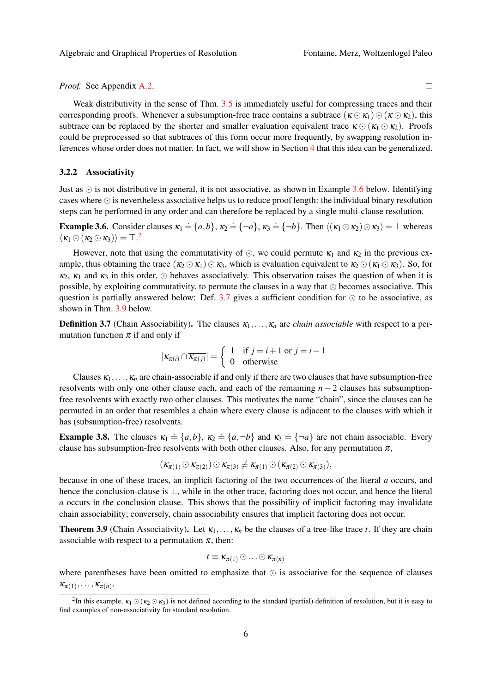*Proof.* See Appendix [A.2.](#page-12-1)

Weak distributivity in the sense of Thm. [3.5](#page-4-2) is immediately useful for compressing traces and their corresponding proofs. Whenever a subsumption-free trace contains a subtrace  $(\kappa \odot \kappa_1) \odot (\kappa \odot \kappa_2)$ , this subtrace can be replaced by the shorter and smaller evaluation equivalent trace  $\kappa \odot (\kappa_1 \odot \kappa_2)$ . Proofs could be preprocessed so that subtraces of this form occur more frequently, by swapping resolution inferences whose order does not matter. In fact, we will show in Section [4](#page-7-0) that this idea can be generalized.

#### <span id="page-5-3"></span>3.2.2 Associativity

Just as  $\odot$  is not distributive in general, it is not associative, as shown in Example [3.6](#page-5-0) below. Identifying cases where  $\odot$  is nevertheless associative helps us to reduce proof length: the individual binary resolution steps can be performed in any order and can therefore be replaced by a single multi-clause resolution.

<span id="page-5-0"></span>**Example 3.6.** Consider clauses  $\kappa_1 \doteq \{a, b\}$ ,  $\kappa_2 \doteq \{\neg a\}$ ,  $\kappa_3 \doteq \{\neg b\}$ . Then  $\langle (\kappa_1 \odot \kappa_2) \odot \kappa_3 \rangle = \bot$  whereas  $\langle \kappa_1 \odot (\kappa_2 \odot \kappa_3) \rangle = \top$  $\langle \kappa_1 \odot (\kappa_2 \odot \kappa_3) \rangle = \top$  $\langle \kappa_1 \odot (\kappa_2 \odot \kappa_3) \rangle = \top$ .<sup>2</sup>

However, note that using the commutativity of  $\odot$ , we could permute  $\kappa_1$  and  $\kappa_2$  in the previous example, thus obtaining the trace  $(\kappa_2 \odot \kappa_1) \odot \kappa_3$ , which is evaluation equivalent to  $\kappa_2 \odot (\kappa_1 \odot \kappa_3)$ . So, for  $\kappa_2$ ,  $\kappa_1$  and  $\kappa_3$  in this order,  $\odot$  behaves associatively. This observation raises the question of when it is possible, by exploiting commutativity, to permute the clauses in a way that  $\odot$  becomes associative. This question is partially answered below: Def. [3.7](#page-5-1) gives a sufficient condition for  $\odot$  to be associative, as shown in Thm. [3.9](#page-5-2) below.

<span id="page-5-1"></span>**Definition 3.7** (Chain Associability). The clauses  $\kappa_1, \ldots, \kappa_n$  are *chain associable* with respect to a permutation function  $\pi$  if and only if

$$
|\kappa_{\pi(i)} \cap \overline{\kappa_{\pi(j)}}| = \begin{cases} 1 & \text{if } j = i+1 \text{ or } j = i-1 \\ 0 & \text{otherwise} \end{cases}
$$

Clauses  $\kappa_1,\ldots,\kappa_n$  are chain-associable if and only if there are two clauses that have subsumption-free resolvents with only one other clause each, and each of the remaining *n* − 2 clauses has subsumptionfree resolvents with exactly two other clauses. This motivates the name "chain", since the clauses can be permuted in an order that resembles a chain where every clause is adjacent to the clauses with which it has (subsumption-free) resolvents.

**Example 3.8.** The clauses  $\kappa_1 \doteq \{a, b\}$ ,  $\kappa_2 \doteq \{a, \neg b\}$  and  $\kappa_3 \doteq \{\neg a\}$  are not chain associable. Every clause has subsumption-free resolvents with both other clauses. Also, for any permutation  $\pi$ ,

$$
(\kappa_{\pi(1)} \odot \kappa_{\pi(2)}) \odot \kappa_{\pi(3)} \not\equiv \kappa_{\pi(1)} \odot (\kappa_{\pi(2)} \odot \kappa_{\pi(3)}),
$$

because in one of these traces, an implicit factoring of the two occurrences of the literal *a* occurs, and hence the conclusion-clause is ⊥, while in the other trace, factoring does not occur, and hence the literal *a* occurs in the conclusion clause. This shows that the possibility of implicit factoring may invalidate chain associability; conversely, chain associability ensures that implicit factoring does not occur.

<span id="page-5-2"></span>**Theorem 3.9** (Chain Associativity). Let  $\kappa_1, \ldots, \kappa_n$  be the clauses of a tree-like trace *t*. If they are chain associable with respect to a permutation  $\pi$ , then:

$$
t\equiv \kappa_{\pi(1)}\odot\ldots\odot\kappa_{\pi(n)}
$$

where parentheses have been omitted to emphasize that  $\odot$  is associative for the sequence of clauses  $\kappa_{\pi(1)}, \ldots, \kappa_{\pi(n)}.$ 

 $\Box$ 

<sup>&</sup>lt;sup>2</sup>In this example,  $\kappa_1 \odot (\kappa_2 \odot \kappa_3)$  is not defined according to the standard (partial) definition of resolution, but it is easy to find examples of non-associativity for standard resolution.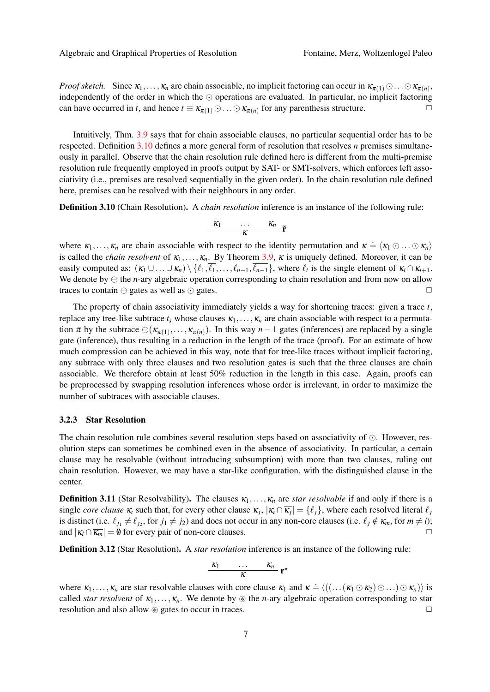*Proof sketch.* Since  $\kappa_1, \ldots, \kappa_n$  are chain associable, no implicit factoring can occur in  $\kappa_{\pi(1)} \odot \ldots \odot \kappa_{\pi(n)}$ , independently of the order in which the  $\odot$  operations are evaluated. In particular, no implicit factoring can have occurred in *t*, and hence  $t \equiv \kappa_{\pi(1)} \odot \ldots \odot \kappa_{\pi(n)}$  for any parenthesis structure.

Intuitively, Thm. [3.9](#page-5-2) says that for chain associable clauses, no particular sequential order has to be respected. Definition [3.10](#page-6-0) defines a more general form of resolution that resolves *n* premises simultaneously in parallel. Observe that the chain resolution rule defined here is different from the multi-premise resolution rule frequently employed in proofs output by SAT- or SMT-solvers, which enforces left associativity (i.e., premises are resolved sequentially in the given order). In the chain resolution rule defined here, premises can be resolved with their neighbours in any order.

<span id="page-6-0"></span>Definition 3.10 (Chain Resolution). A *chain resolution* inference is an instance of the following rule:

$$
\frac{\kappa_1 \qquad \ldots \qquad \kappa_n}{\kappa} \tilde{\mathbf{r}}
$$

where  $\kappa_1, \ldots, \kappa_n$  are chain associable with respect to the identity permutation and  $\kappa \doteq \langle \kappa_1 \odot \ldots \odot \kappa_n \rangle$ is called the *chain resolvent* of  $\kappa_1, \ldots, \kappa_n$ . By Theorem [3.9,](#page-5-2)  $\kappa$  is uniquely defined. Moreover, it can be easily computed as:  $(\kappa_1 \cup ... \cup \kappa_n) \setminus \{\ell_1, \ell_1, ..., \ell_{n-1}, \ell_{n-1}\}\$ , where  $\ell_i$  is the single element of  $\kappa_i \cap \overline{\kappa_{i+1}}\$ . We denote by  $\ominus$  the *n*-ary algebraic operation corresponding to chain resolution and from now on allow traces to contain  $\ominus$  gates as well as  $\odot$  gates.

The property of chain associativity immediately yields a way for shortening traces: given a trace *t*, replace any tree-like subtrace  $t_s$  whose clauses  $\kappa_1, \ldots, \kappa_n$  are chain associable with respect to a permutation  $\pi$  by the subtrace  $\ominus(\kappa_{\pi(1)},...,\kappa_{\pi(n)})$ . In this way  $n-1$  gates (inferences) are replaced by a single gate (inference), thus resulting in a reduction in the length of the trace (proof). For an estimate of how much compression can be achieved in this way, note that for tree-like traces without implicit factoring, any subtrace with only three clauses and two resolution gates is such that the three clauses are chain associable. We therefore obtain at least 50% reduction in the length in this case. Again, proofs can be preprocessed by swapping resolution inferences whose order is irrelevant, in order to maximize the number of subtraces with associable clauses.

#### 3.2.3 Star Resolution

The chain resolution rule combines several resolution steps based on associativity of  $\odot$ . However, resolution steps can sometimes be combined even in the absence of associativity. In particular, a certain clause may be resolvable (without introducing subsumption) with more than two clauses, ruling out chain resolution. However, we may have a star-like configuration, with the distinguished clause in the center.

**Definition 3.11** (Star Resolvability). The clauses  $\kappa_1, \ldots, \kappa_n$  are *star resolvable* if and only if there is a single *core clause*  $\kappa_i$  such that, for every other clause  $\kappa_j$ ,  $|\kappa_i \cap \overline{\kappa_j}| = \{\ell_j\}$ , where each resolved literal  $\ell_j$ is distinct (i.e.  $\ell_{j1} \neq \ell_{j2}$ , for  $j_1 \neq j_2$ ) and does not occur in any non-core clauses (i.e.  $\ell_j \notin \kappa_m$ , for  $m \neq i$ ); and  $|\kappa_l \cap \overline{\kappa_m}| = \emptyset$  for every pair of non-core clauses.

Definition 3.12 (Star Resolution). A *star resolution* inference is an instance of the following rule:

$$
\frac{\kappa_1 \qquad \ldots \qquad \kappa_n}{\kappa} \; \mathbf{r}^{\star}
$$

where  $\kappa_1,\ldots,\kappa_n$  are star resolvable clauses with core clause  $\kappa_1$  and  $\kappa \doteq \langle ((\ldots(\kappa_1 \odot \kappa_2) \odot \ldots) \odot \kappa_n) \rangle$  is called *star resolvent* of  $\kappa_1, \ldots, \kappa_n$ . We denote by  $\circledast$  the *n*-ary algebraic operation corresponding to star resolution and also allow  $\circledast$  gates to occur in traces.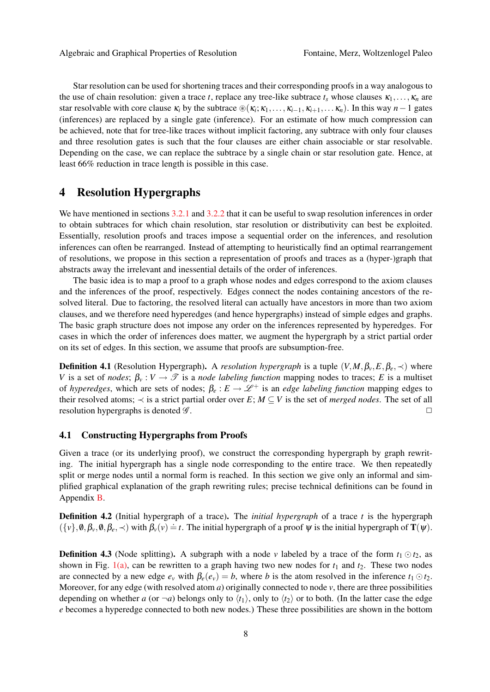Star resolution can be used for shortening traces and their corresponding proofs in a way analogous to the use of chain resolution: given a trace *t*, replace any tree-like subtrace  $t_s$  whose clauses  $\kappa_1, \ldots, \kappa_n$  are star resolvable with core clause  $\kappa_i$  by the subtrace  $\mathcal{B}(\kappa_i;\kappa_1,\ldots,\kappa_{i-1},\kappa_{i+1},\ldots,\kappa_n)$ . In this way *n* − 1 gates (inferences) are replaced by a single gate (inference). For an estimate of how much compression can be achieved, note that for tree-like traces without implicit factoring, any subtrace with only four clauses and three resolution gates is such that the four clauses are either chain associable or star resolvable. Depending on the case, we can replace the subtrace by a single chain or star resolution gate. Hence, at least 66% reduction in trace length is possible in this case.

## <span id="page-7-0"></span>4 Resolution Hypergraphs

We have mentioned in sections [3.2.1](#page-4-3) and [3.2.2](#page-5-3) that it can be useful to swap resolution inferences in order to obtain subtraces for which chain resolution, star resolution or distributivity can best be exploited. Essentially, resolution proofs and traces impose a sequential order on the inferences, and resolution inferences can often be rearranged. Instead of attempting to heuristically find an optimal rearrangement of resolutions, we propose in this section a representation of proofs and traces as a (hyper-)graph that abstracts away the irrelevant and inessential details of the order of inferences.

The basic idea is to map a proof to a graph whose nodes and edges correspond to the axiom clauses and the inferences of the proof, respectively. Edges connect the nodes containing ancestors of the resolved literal. Due to factoring, the resolved literal can actually have ancestors in more than two axiom clauses, and we therefore need hyperedges (and hence hypergraphs) instead of simple edges and graphs. The basic graph structure does not impose any order on the inferences represented by hyperedges. For cases in which the order of inferences does matter, we augment the hypergraph by a strict partial order on its set of edges. In this section, we assume that proofs are subsumption-free.

**Definition 4.1** (Resolution Hypergraph). A *resolution hypergraph* is a tuple  $(V, M, \beta_v, E, \beta_e, \prec)$  where *V* is a set of *nodes*;  $\beta_v : V \to \mathcal{T}$  is a *node labeling function* mapping nodes to traces; *E* is a multiset of *hyperedges*, which are sets of nodes;  $\beta_e : E \to \mathcal{L}^+$  is an *edge labeling function* mapping edges to their resolved atoms;  $\prec$  is a strict partial order over *E*; *M*  $\subseteq$  *V* is the set of *merged nodes*. The set of all resolution hypergraphs is denoted  $\mathscr G$ .

### <span id="page-7-2"></span>4.1 Constructing Hypergraphs from Proofs

Given a trace (or its underlying proof), we construct the corresponding hypergraph by graph rewriting. The initial hypergraph has a single node corresponding to the entire trace. We then repeatedly split or merge nodes until a normal form is reached. In this section we give only an informal and simplified graphical explanation of the graph rewriting rules; precise technical definitions can be found in Appendix [B.](#page-13-0)

Definition 4.2 (Initial hypergraph of a trace). The *initial hypergraph* of a trace *t* is the hypergraph  $(\{v\}, \emptyset, \beta_v, \emptyset, \beta_e, \prec)$  with  $\beta_v(v) = t$ . The initial hypergraph of a proof  $\psi$  is the initial hypergraph of  $\mathbf{T}(\psi)$ .

<span id="page-7-1"></span>**Definition 4.3** (Node splitting). A subgraph with a node *v* labeled by a trace of the form  $t_1 \odot t_2$ , as shown in Fig.  $1(a)$ , can be rewritten to a graph having two new nodes for  $t_1$  and  $t_2$ . These two nodes are connected by a new edge  $e_v$  with  $\beta_e(e_v) = b$ , where *b* is the atom resolved in the inference  $t_1 \odot t_2$ . Moreover, for any edge (with resolved atom  $a$ ) originally connected to node  $v$ , there are three possibilities depending on whether *a* (or  $\neg a$ ) belongs only to  $\langle t_1 \rangle$ , only to  $\langle t_2 \rangle$  or to both. (In the latter case the edge *e* becomes a hyperedge connected to both new nodes.) These three possibilities are shown in the bottom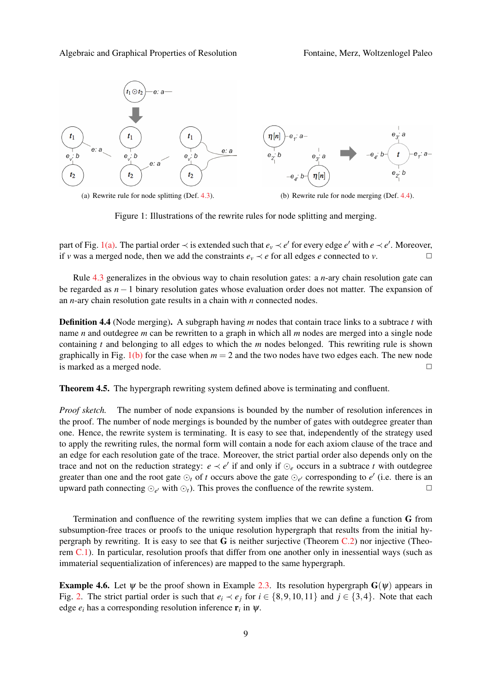<span id="page-8-0"></span>

<span id="page-8-2"></span>Figure 1: Illustrations of the rewrite rules for node splitting and merging.

part of Fig. [1\(a\).](#page-8-0) The partial order  $\prec$  is extended such that  $e_v \prec e'$  for every edge  $e'$  with  $e \prec e'$ . Moreover, if *v* was a merged node, then we add the constraints  $e_v \prec e$  for all edges *e* connected to *v*.

Rule [4.3](#page-7-1) generalizes in the obvious way to chain resolution gates: a *n*-ary chain resolution gate can be regarded as *n*−1 binary resolution gates whose evaluation order does not matter. The expansion of an *n*-ary chain resolution gate results in a chain with *n* connected nodes.

<span id="page-8-1"></span>Definition 4.4 (Node merging). A subgraph having *m* nodes that contain trace links to a subtrace *t* with name *n* and outdegree *m* can be rewritten to a graph in which all *m* nodes are merged into a single node containing *t* and belonging to all edges to which the *m* nodes belonged. This rewriting rule is shown graphically in Fig. [1\(b\)](#page-8-2) for the case when  $m = 2$  and the two nodes have two edges each. The new node is marked as a merged node.  $\Box$ 

Theorem 4.5. The hypergraph rewriting system defined above is terminating and confluent.

*Proof sketch.* The number of node expansions is bounded by the number of resolution inferences in the proof. The number of node mergings is bounded by the number of gates with outdegree greater than one. Hence, the rewrite system is terminating. It is easy to see that, independently of the strategy used to apply the rewriting rules, the normal form will contain a node for each axiom clause of the trace and an edge for each resolution gate of the trace. Moreover, the strict partial order also depends only on the trace and not on the reduction strategy:  $e \prec e'$  if and only if  $\odot_e$  occurs in a subtrace *t* with outdegree greater than one and the root gate  $\odot_t$  of *t* occurs above the gate  $\odot_{e'}$  corresponding to  $e'$  (i.e. there is an upward path connecting  $\odot_{e'}$  with  $\odot_t$ ). This proves the confluence of the rewrite system.  $\Box$ 

Termination and confluence of the rewriting system implies that we can define a function G from subsumption-free traces or proofs to the unique resolution hypergraph that results from the initial hypergraph by rewriting. It is easy to see that G is neither surjective (Theorem [C.2\)](#page-14-0) nor injective (Theorem [C.1\)](#page-14-1). In particular, resolution proofs that differ from one another only in inessential ways (such as immaterial sequentialization of inferences) are mapped to the same hypergraph.

**Example 4.6.** Let  $\psi$  be the proof shown in Example [2.3.](#page-2-2) Its resolution hypergraph  $G(\psi)$  appears in Fig. [2.](#page-9-0) The strict partial order is such that  $e_i \lt e_j$  for  $i \in \{8, 9, 10, 11\}$  and  $j \in \{3, 4\}$ . Note that each edge  $e_i$  has a corresponding resolution inference  $\mathbf{r}_i$  in  $\psi$ .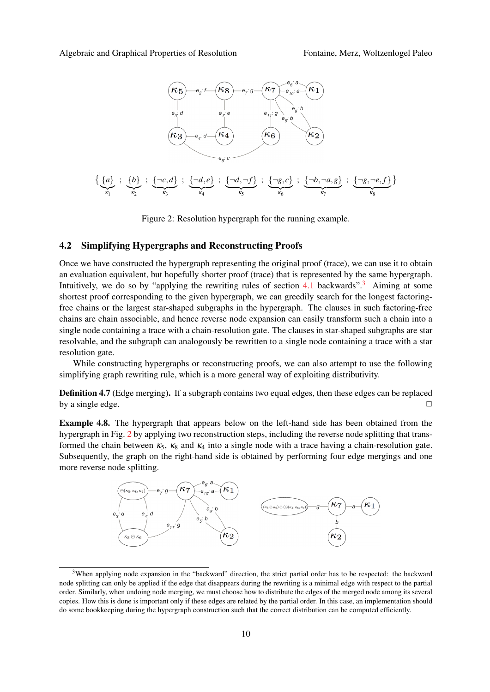

<span id="page-9-0"></span>Figure 2: Resolution hypergraph for the running example.

### 4.2 Simplifying Hypergraphs and Reconstructing Proofs

Once we have constructed the hypergraph representing the original proof (trace), we can use it to obtain an evaluation equivalent, but hopefully shorter proof (trace) that is represented by the same hypergraph. Intuitively, we do so by "applying the rewriting rules of section [4.1](#page-7-2) backwards".<sup>[3](#page-0-0)</sup> Aiming at some shortest proof corresponding to the given hypergraph, we can greedily search for the longest factoringfree chains or the largest star-shaped subgraphs in the hypergraph. The clauses in such factoring-free chains are chain associable, and hence reverse node expansion can easily transform such a chain into a single node containing a trace with a chain-resolution gate. The clauses in star-shaped subgraphs are star resolvable, and the subgraph can analogously be rewritten to a single node containing a trace with a star resolution gate.

While constructing hypergraphs or reconstructing proofs, we can also attempt to use the following simplifying graph rewriting rule, which is a more general way of exploiting distributivity.

Definition 4.7 (Edge merging). If a subgraph contains two equal edges, then these edges can be replaced by a single edge.  $\Box$ 

Example 4.8. The hypergraph that appears below on the left-hand side has been obtained from the hypergraph in Fig. [2](#page-9-0) by applying two reconstruction steps, including the reverse node splitting that transformed the chain between  $\kappa_5$ ,  $\kappa_8$  and  $\kappa_4$  into a single node with a trace having a chain-resolution gate. Subsequently, the graph on the right-hand side is obtained by performing four edge mergings and one more reverse node splitting.



<sup>&</sup>lt;sup>3</sup>When applying node expansion in the "backward" direction, the strict partial order has to be respected: the backward node splitting can only be applied if the edge that disappears during the rewriting is a minimal edge with respect to the partial order. Similarly, when undoing node merging, we must choose how to distribute the edges of the merged node among its several copies. How this is done is important only if these edges are related by the partial order. In this case, an implementation should do some bookkeeping during the hypergraph construction such that the correct distribution can be computed efficiently.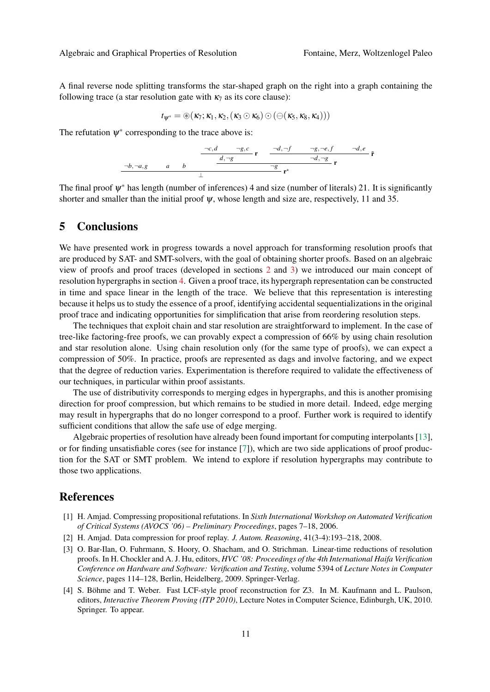A final reverse node splitting transforms the star-shaped graph on the right into a graph containing the following trace (a star resolution gate with  $\kappa_7$  as its core clause):

$$
t_{\psi^*}=\circledast(\kappa_7;\kappa_1,\kappa_2,(\kappa_3\odot\kappa_6)\odot(\ominus(\kappa_5,\kappa_8,\kappa_4)))
$$

The refutation  $\psi^*$  corresponding to the trace above is:

$$
\begin{array}{c|c}\n\hline\n-c,d & \neg g, c \\
\hline\nd, \neg g & \mathbf{r} \\
\hline\n\frac{d, \neg g}{\neg d, \neg g} & \mathbf{r} \\
\hline\n\frac{d, \neg g}{\neg d, \neg g} & \mathbf{r} \\
\hline\n\frac{1}{\bot} & \mathbf{r} \\
\hline\n\end{array}
$$

The final proof  $\psi^*$  has length (number of inferences) 4 and size (number of literals) 21. It is significantly shorter and smaller than the initial proof  $\psi$ , whose length and size are, respectively, 11 and 35.

### 5 Conclusions

We have presented work in progress towards a novel approach for transforming resolution proofs that are produced by SAT- and SMT-solvers, with the goal of obtaining shorter proofs. Based on an algebraic view of proofs and proof traces (developed in sections [2](#page-2-1) and [3\)](#page-3-0) we introduced our main concept of resolution hypergraphs in section [4.](#page-7-0) Given a proof trace, its hypergraph representation can be constructed in time and space linear in the length of the trace. We believe that this representation is interesting because it helps us to study the essence of a proof, identifying accidental sequentializations in the original proof trace and indicating opportunities for simplification that arise from reordering resolution steps.

The techniques that exploit chain and star resolution are straightforward to implement. In the case of tree-like factoring-free proofs, we can provably expect a compression of 66% by using chain resolution and star resolution alone. Using chain resolution only (for the same type of proofs), we can expect a compression of 50%. In practice, proofs are represented as dags and involve factoring, and we expect that the degree of reduction varies. Experimentation is therefore required to validate the effectiveness of our techniques, in particular within proof assistants.

The use of distributivity corresponds to merging edges in hypergraphs, and this is another promising direction for proof compression, but which remains to be studied in more detail. Indeed, edge merging may result in hypergraphs that do no longer correspond to a proof. Further work is required to identify sufficient conditions that allow the safe use of edge merging.

Algebraic properties of resolution have already been found important for computing interpolants [\[13\]](#page-11-13), or for finding unsatisfiable cores (see for instance [\[7\]](#page-11-14)), which are two side applications of proof production for the SAT or SMT problem. We intend to explore if resolution hypergraphs may contribute to those two applications.

### References

- <span id="page-10-2"></span>[1] H. Amjad. Compressing propositional refutations. In *Sixth International Workshop on Automated Verification of Critical Systems (AVOCS '06) – Preliminary Proceedings*, pages 7–18, 2006.
- <span id="page-10-3"></span>[2] H. Amjad. Data compression for proof replay. *J. Autom. Reasoning*, 41(3-4):193–218, 2008.
- <span id="page-10-1"></span>[3] O. Bar-Ilan, O. Fuhrmann, S. Hoory, O. Shacham, and O. Strichman. Linear-time reductions of resolution proofs. In H. Chockler and A. J. Hu, editors, *HVC '08: Proceedings of the 4th International Haifa Verification Conference on Hardware and Software: Verification and Testing*, volume 5394 of *Lecture Notes in Computer Science*, pages 114–128, Berlin, Heidelberg, 2009. Springer-Verlag.
- <span id="page-10-0"></span>[4] S. Böhme and T. Weber. Fast LCF-style proof reconstruction for Z3. In M. Kaufmann and L. Paulson, editors, *Interactive Theorem Proving (ITP 2010)*, Lecture Notes in Computer Science, Edinburgh, UK, 2010. Springer. To appear.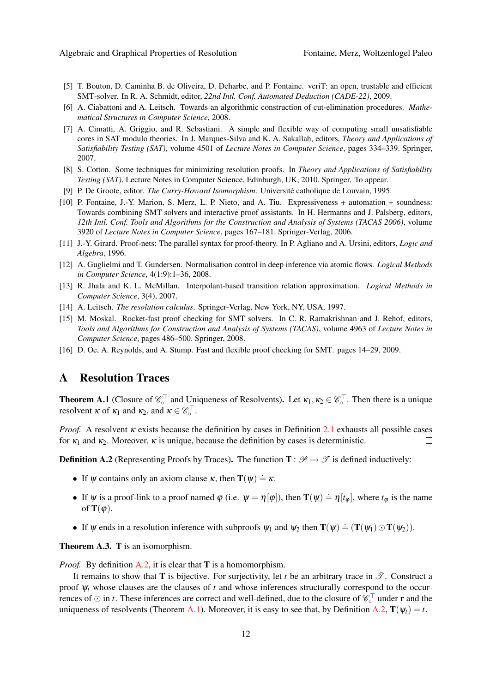- <span id="page-11-3"></span>[5] T. Bouton, D. Caminha B. de Oliveira, D. Deharbe, and P. Fontaine. veriT: an open, trustable and efficient SMT-solver. In R. A. Schmidt, editor, *22nd Intl. Conf. Automated Deduction (CADE-22)*, 2009.
- <span id="page-11-5"></span>[6] A. Ciabattoni and A. Leitsch. Towards an algorithmic construction of cut-elimination procedures. *Mathematical Structures in Computer Science*, 2008.
- <span id="page-11-14"></span>[7] A. Cimatti, A. Griggio, and R. Sebastiani. A simple and flexible way of computing small unsatisfiable cores in SAT modulo theories. In J. Marques-Silva and K. A. Sakallah, editors, *Theory and Applications of Satisfiability Testing (SAT)*, volume 4501 of *Lecture Notes in Computer Science*, pages 334–339. Springer, 2007.
- <span id="page-11-4"></span>[8] S. Cotton. Some techniques for minimizing resolution proofs. In *Theory and Applications of Satisfiability Testing (SAT)*, Lecture Notes in Computer Science, Edinburgh, UK, 2010. Springer. To appear.
- <span id="page-11-6"></span>[9] P. De Groote, editor. *The Curry-Howard Isomorphism*. Universite catholique de Louvain, 1995. ´
- <span id="page-11-2"></span>[10] P. Fontaine, J.-Y. Marion, S. Merz, L. P. Nieto, and A. Tiu. Expressiveness + automation + soundness: Towards combining SMT solvers and interactive proof assistants. In H. Hermanns and J. Palsberg, editors, *12th Intl. Conf. Tools and Algorithms for the Construction and Analysis of Systems (TACAS 2006)*, volume 3920 of *Lecture Notes in Computer Science*, pages 167–181. Springer-Verlag, 2006.
- <span id="page-11-7"></span>[11] J.-Y. Girard. Proof-nets: The parallel syntax for proof-theory. In P. Agliano and A. Ursini, editors, *Logic and Algebra*, 1996.
- <span id="page-11-8"></span>[12] A. Guglielmi and T. Gundersen. Normalisation control in deep inference via atomic flows. *Logical Methods in Computer Science*, 4(1:9):1–36, 2008.
- <span id="page-11-13"></span>[13] R. Jhala and K. L. McMillan. Interpolant-based transition relation approximation. *Logical Methods in Computer Science*, 3(4), 2007.
- <span id="page-11-9"></span>[14] A. Leitsch. *The resolution calculus*. Springer-Verlag, New York, NY, USA, 1997.
- <span id="page-11-0"></span>[15] M. Moskal. Rocket-fast proof checking for SMT solvers. In C. R. Ramakrishnan and J. Rehof, editors, *Tools and Algorithms for Construction and Analysis of Systems (TACAS)*, volume 4963 of *Lecture Notes in Computer Science*, pages 486–500. Springer, 2008.
- <span id="page-11-1"></span>[16] D. Oe, A. Reynolds, and A. Stump. Fast and flexible proof checking for SMT. pages 14–29, 2009.

# A Resolution Traces

<span id="page-11-10"></span>**Theorem A.1** (Closure of  $\mathscr{C}_0^{\top}$  and Uniqueness of Resolvents). Let  $\kappa_1, \kappa_2 \in \mathscr{C}_0^{\top}$ . Then there is a unique resolvent  $\kappa$  of  $\kappa_1$  and  $\kappa_2$ , and  $\kappa \in \mathscr{C}_\circ^{\top}$ .

*Proof.* A resolvent κ exists because the definition by cases in Definition [2.1](#page-2-0) exhausts all possible cases for  $\kappa_1$  and  $\kappa_2$ . Moreover,  $\kappa$  is unique, because the definition by cases is deterministic.  $\Box$ 

<span id="page-11-11"></span>**Definition A.2** (Representing Proofs by Traces). The function  $T : \mathcal{P} \to \mathcal{T}$  is defined inductively:

- If  $\psi$  contains only an axiom clause  $\kappa$ , then  $\mathbf{T}(\psi) \doteq \kappa$ .
- If  $\psi$  is a proof-link to a proof named  $\varphi$  (i.e.  $\psi = \eta[\varphi]$ ), then  $\mathbf{T}(\psi) \doteq \eta[t_{\varphi}]$ , where  $t_{\varphi}$  is the name of  $\mathbf{T}(\varphi)$ .
- If  $\psi$  ends in a resolution inference with subproofs  $\psi_1$  and  $\psi_2$  then  $\mathbf{T}(\psi) \doteq (\mathbf{T}(\psi_1) \odot \mathbf{T}(\psi_2)).$

<span id="page-11-12"></span>Theorem A.3. T is an isomorphism.

*Proof.* By definition [A.2,](#page-11-11) it is clear that **T** is a homomorphism.

It remains to show that **T** is bijective. For surjectivity, let *t* be an arbitrary trace in  $\mathscr{T}$ . Construct a proof ψ*<sup>t</sup>* whose clauses are the clauses of *t* and whose inferences structurally correspond to the occurrences of  $\odot$  in *t*. These inferences are correct and well-defined, due to the closure of  $\mathscr{C}_\circ^{\top}$  under **r** and the uniqueness of resolvents (Theorem [A.1\)](#page-11-10). Moreover, it is easy to see that, by Definition [A.2,](#page-11-11)  $\mathbf{T}(\psi_t) = t$ .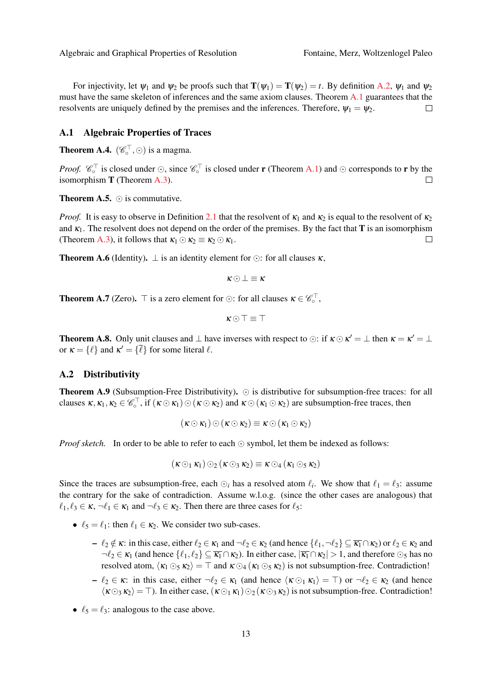For injectivity, let  $\psi_1$  and  $\psi_2$  be proofs such that  $\mathbf{T}(\psi_1) = \mathbf{T}(\psi_2) = t$ . By definition [A.2,](#page-11-11)  $\psi_1$  and  $\psi_2$ must have the same skeleton of inferences and the same axiom clauses. Theorem [A.1](#page-11-10) guarantees that the resolvents are uniquely defined by the premises and the inferences. Therefore,  $\psi_1 = \psi_2$ .  $\Box$ 

#### <span id="page-12-0"></span>A.1 Algebraic Properties of Traces

**Theorem A.4.**  $(\mathscr{C}_{\circ}^{\top}, \odot)$  is a magma.

*Proof.*  $\mathscr{C}_\circ^{\top}$  is closed under  $\odot$ , since  $\mathscr{C}_\circ^{\top}$  is closed under **r** (Theorem [A.1\)](#page-11-10) and  $\odot$  corresponds to **r** by the isomorphism  $T$  (Theorem [A.3\)](#page-11-12).  $\Box$ 

**Theorem A.5.**  $\odot$  is commutative.

*Proof.* It is easy to observe in Definition [2.1](#page-2-0) that the resolvent of  $\kappa_1$  and  $\kappa_2$  is equal to the resolvent of  $\kappa_2$ and  $\kappa_1$ . The resolvent does not depend on the order of the premises. By the fact that **T** is an isomorphism (Theorem [A.3\)](#page-11-12), it follows that  $\kappa_1 \odot \kappa_2 \equiv \kappa_2 \odot \kappa_1$ .  $\Box$ 

**Theorem A.6** (Identity).  $\perp$  is an identity element for  $\odot$ : for all clauses  $\kappa$ .

 $\kappa \odot \bot \equiv \kappa$ 

**Theorem A.7** (Zero).  $\top$  is a zero element for  $\odot$ : for all clauses  $\kappa \in \mathscr{C}_\circ^{\top}$ ,

$$
\kappa \odot \top \equiv \top
$$

**Theorem A.8.** Only unit clauses and  $\perp$  have inverses with respect to  $\odot$ : if  $\kappa \odot \kappa' = \perp$  then  $\kappa = \kappa' = \perp$ or  $\kappa = {\ell}$  and  $\kappa' = {\bar{\ell}}$  for some literal  $\ell$ .

#### <span id="page-12-1"></span>A.2 Distributivity

**Theorem A.9** (Subsumption-Free Distributivity).  $\odot$  is distributive for subsumption-free traces: for all clauses  $\kappa, \kappa_1, \kappa_2 \in \mathscr{C}_\circ^{\top}$ , if  $(\kappa \odot \kappa_1) \odot (\kappa \odot \kappa_2)$  and  $\kappa \odot (\kappa_1 \odot \kappa_2)$  are subsumption-free traces, then

$$
(\kappa \odot \kappa_1) \odot (\kappa \odot \kappa_2) \equiv \kappa \odot (\kappa_1 \odot \kappa_2)
$$

*Proof sketch.* In order to be able to refer to each  $\odot$  symbol, let them be indexed as follows:

$$
(\kappa \odot_1 \kappa_1) \odot_2 (\kappa \odot_3 \kappa_2) \equiv \kappa \odot_4 (\kappa_1 \odot_5 \kappa_2)
$$

Since the traces are subsumption-free, each  $\odot_i$  has a resolved atom  $\ell_i$ . We show that  $\ell_1 = \ell_3$ : assume the contrary for the sake of contradiction. Assume w.l.o.g. (since the other cases are analogous) that  $\ell_1, \ell_3 \in \kappa, \neg \ell_1 \in \kappa_1$  and  $\neg \ell_3 \in \kappa_2$ . Then there are three cases for  $\ell_5$ :

- $\ell_5 = \ell_1$ : then  $\ell_1 \in \kappa_2$ . We consider two sub-cases.
	- $\ell_2 \notin \kappa$ : in this case, either  $\ell_2 \in \kappa_1$  and  $\neg \ell_2 \in \kappa_2$  (and hence  $\{\ell_1, \neg \ell_2\} \subseteq \overline{\kappa_1} \cap \kappa_2$ ) or  $\ell_2 \in \kappa_2$  and  $\neg \ell_2 \in \kappa_1$  (and hence  $\{\ell_1, \ell_2\} \subseteq \overline{\kappa_1} \cap \kappa_2$ ). In either case,  $|\overline{\kappa_1} \cap \kappa_2| > 1$ , and therefore  $\odot_5$  has no resolved atom,  $\langle \kappa_1 \odot_5 \kappa_2 \rangle = \top$  and  $\kappa \odot_4 (\kappa_1 \odot_5 \kappa_2)$  is not subsumption-free. Contradiction!
	- $-\ell_2 \in \kappa$ : in this case, either  $\neg \ell_2 \in \kappa_1$  (and hence  $\langle \kappa \odot_1 \kappa_1 \rangle = \top$ ) or  $\neg \ell_2 \in \kappa_2$  (and hence  $\langle \kappa \odot_3 \kappa_2 \rangle = \top$ ). In either case,  $(\kappa \odot_1 \kappa_1) \odot_2 (\kappa \odot_3 \kappa_2)$  is not subsumption-free. Contradiction!
- $\ell_5 = \ell_3$ : analogous to the case above.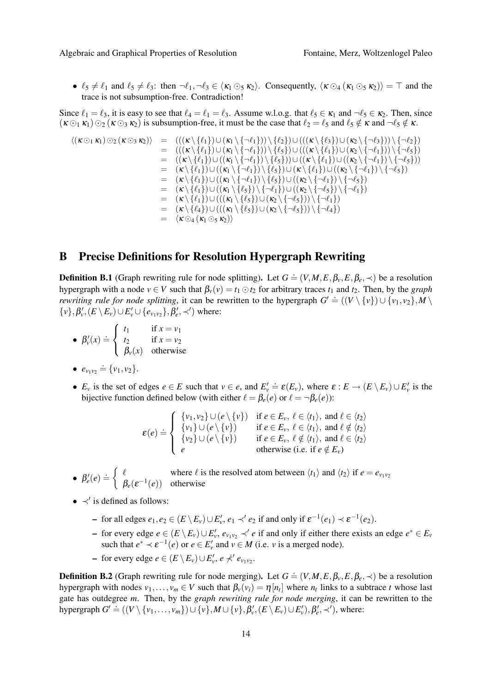•  $\ell_5 \neq \ell_1$  and  $\ell_5 \neq \ell_3$ : then  $\neg \ell_1, \neg \ell_3 \in \langle \kappa_1 \odot_5 \kappa_2 \rangle$ . Consequently,  $\langle \kappa \odot_4 (\kappa_1 \odot_5 \kappa_2) \rangle = \top$  and the trace is not subsumption-free. Contradiction!

Since  $\ell_1 = \ell_3$ , it is easy to see that  $\ell_4 = \ell_1 = \ell_3$ . Assume w.l.o.g. that  $\ell_5 \in \kappa_1$  and  $\neg \ell_5 \in \kappa_2$ . Then, since  $(\kappa \odot_1 \kappa_1) \odot_2 (\kappa \odot_3 \kappa_2)$  is subsumption-free, it must be the case that  $\ell_2 = \ell_5$  and  $\ell_5 \notin \kappa$  and  $\neg \ell_5 \notin \kappa$ .

$$
\langle (\kappa \odot_1 \kappa_1) \odot_2 (\kappa \odot_3 \kappa_2) \rangle = (((\kappa \backslash \{\ell_1\}) \cup (\kappa_1 \backslash \{\neg \ell_1\})) \backslash \{\ell_2\}) \cup (((\kappa \backslash \{\ell_1\}) \cup (\kappa_2 \backslash \{\neg \ell_3\})) \backslash \{\neg \ell_2\})
$$
  
\n
$$
= ((\kappa \backslash \{\ell_1\}) \cup (\kappa_1 \backslash \{\neg \ell_1\})) \backslash \{\ell_5\}) \cup (((\kappa \backslash \{\ell_1\}) \cup (\kappa_2 \backslash \{\neg \ell_1\})) \backslash \{\neg \ell_5\})
$$
  
\n
$$
= ((\kappa \backslash \{\ell_1\}) \cup ((\kappa_1 \backslash \{\neg \ell_1\}) \backslash \{\ell_5\}) \cup ((\kappa \backslash \{\ell_1\}) \cup ((\kappa_2 \backslash \{\neg \ell_1\}) \backslash \{\neg \ell_5\}))
$$
  
\n
$$
= (\kappa \backslash \{\ell_1\}) \cup ((\kappa_1 \backslash \{\neg \ell_1\}) \backslash \{\ell_5\}) \cup (\kappa \backslash \{\ell_1\}) \cup ((\kappa_2 \backslash \{\neg \ell_1\}) \backslash \{\neg \ell_5\})
$$
  
\n
$$
= (\kappa \backslash \{\ell_1\}) \cup ((\kappa_1 \backslash \{\neg \ell_1\}) \backslash \{\ell_5\}) \cup ((\kappa_2 \backslash \{\neg \ell_1\}) \backslash \{\neg \ell_5\})
$$
  
\n
$$
= (\kappa \backslash \{\ell_1\}) \cup ((\kappa_1 \backslash \{\ell_5\}) \backslash \{\neg \ell_1\}) \cup ((\kappa_2 \backslash \{\neg \ell_5\}) \backslash \{\neg \ell_1\})
$$
  
\n
$$
= (\kappa \backslash \{\ell_1\}) \cup (((\kappa_1 \backslash \{\ell_5\}) \cup (\kappa_2 \backslash \{\neg \ell_5\})) \backslash \{\neg \ell_1\})
$$
  
\n
$$
= (\kappa \backslash \{\ell_4\}) \cup (((\kappa_1 \backslash \{\ell_5\}) \cup (\kappa_2 \backslash \{\neg \ell_5\})) \backslash \{\neg \
$$

## <span id="page-13-0"></span>B Precise Definitions for Resolution Hypergraph Rewriting

**Definition B.1** (Graph rewriting rule for node splitting). Let  $G = (V, M, E, \beta_v, E, \beta_e, \prec)$  be a resolution hypergraph with a node  $v \in V$  such that  $\beta_v(v) = t_1 \odot t_2$  for arbitrary traces  $t_1$  and  $t_2$ . Then, by the *graph rewriting rule for node splitting*, it can be rewritten to the hypergraph  $G' \doteq ((V \setminus \{v\}) \cup \{v_1, v_2\}, M \setminus T)$  $\{v\}, \beta'_v, (E \setminus E_v) \cup E'_v \cup \{e_{v_1v_2}\}, \beta'_e, \prec')$  where:

- $\beta'_v(x) \doteq$  $\sqrt{ }$  $\left| \right|$  $\mathcal{L}$ *t*<sub>1</sub> if  $x = v_1$ *t*<sub>2</sub> if  $x = v_2$  $\beta_v(x)$  otherwise
- $e_{v_1v_2} \doteq \{v_1, v_2\}.$
- $E_v$  is the set of edges  $e \in E$  such that  $v \in e$ , and  $E'_v \doteq \varepsilon(E_v)$ , where  $\varepsilon : E \to (E \setminus E_v) \cup E'_v$  is the bijective function defined below (with either  $\ell = \beta_e(e)$  or  $\ell = \beta_e(e)$ ):

$$
\varepsilon(e) \doteq \left\{ \begin{array}{ll} \{v_1, v_2\} \cup (e \setminus \{v\}) & \text{if } e \in E_v, \ \ell \in \langle t_1 \rangle, \text{ and } \ell \in \langle t_2 \rangle \\ \{v_1\} \cup (e \setminus \{v\}) & \text{if } e \in E_v, \ \ell \in \langle t_1 \rangle, \text{ and } \ell \notin \langle t_2 \rangle \\ \{v_2\} \cup (e \setminus \{v\}) & \text{if } e \in E_v, \ \ell \notin \langle t_1 \rangle, \text{ and } \ell \in \langle t_2 \rangle \\ e & \text{otherwise (i.e. if } e \notin E_v) \end{array} \right.
$$

- $\beta'_e(e) \doteq \begin{cases} \ell & \text{where } \ell \text{ is the resolved atom between } \langle t_1 \rangle \text{ and } \langle t_2 \rangle \text{ if } e = e_{\nu_1 \nu_2} \\ \beta & \text{otherwise} \end{cases}$  $\beta_e(\varepsilon^{-1}(e))$  otherwise
- $\prec'$  is defined as follows:
	- $\vdash$  for all edges  $e_1, e_2 \in (E \setminus E_\nu) \cup E'_\nu, e_1 \prec' e_2$  if and only if  $\varepsilon^{-1}(e_1) \prec \varepsilon^{-1}(e_2)$ .
	- *–* for every edge *e* ∈  $(E \setminus E_v) \cup E'_v$ ,  $e_{v_1v_2}$  ≺' *e* if and only if either there exists an edge  $e^* \in E_v$ such that  $e^* \prec \varepsilon^{-1}(e)$  or  $e \in E'_v$  and  $v \in M$  (i.e. *v* is a merged node).
	- *–* for every edge *e* ∈  $(E \setminus E_v) \cup E'_v$ , *e ★'*  $e_{v_1v_2}$ .

**Definition B.2** (Graph rewriting rule for node merging). Let  $G = (V, M, E, \beta_v, E, \beta_e, \prec)$  be a resolution hypergraph with nodes  $v_1, \ldots, v_m \in V$  such that  $\beta_v(v_i) = \eta[n_t]$  where  $n_t$  links to a subtrace *t* whose last gate has outdegree *m*. Then, by the *graph rewriting rule for node merging*, it can be rewritten to the hypergraph  $G' \doteq ((V \setminus \{v_1, \ldots, v_m\}) \cup \{v\}, M \cup \{v\}, \beta'_v, (E \setminus E_v) \cup E'_v), \beta'_e, \prec' )$ , where: